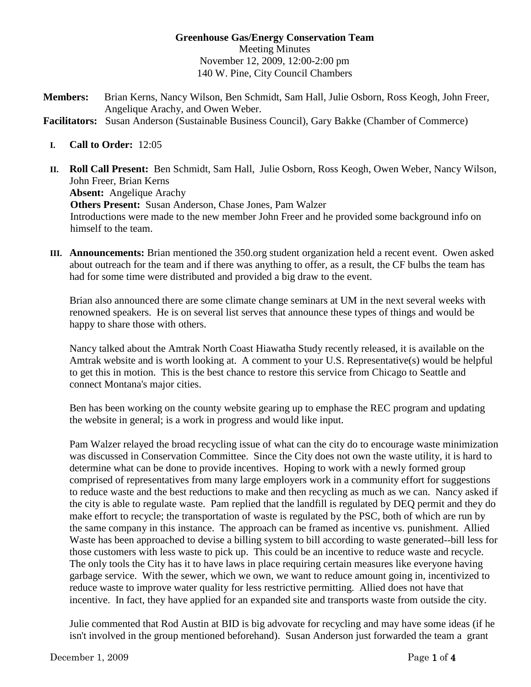## **Greenhouse Gas/Energy Conservation Team**  Meeting Minutes November 12, 2009, 12:00-2:00 pm 140 W. Pine, City Council Chambers

**Members:** Brian Kerns, Nancy Wilson, Ben Schmidt, Sam Hall, Julie Osborn, Ross Keogh, John Freer, Angelique Arachy, and Owen Weber.

**Facilitators:** Susan Anderson (Sustainable Business Council), Gary Bakke (Chamber of Commerce)

- **I. Call to Order:** 12:05
- **II. Roll Call Present:** Ben Schmidt, Sam Hall, Julie Osborn, Ross Keogh, Owen Weber, Nancy Wilson, John Freer, Brian Kerns **Absent:** Angelique Arachy **Others Present:** Susan Anderson, Chase Jones, Pam Walzer Introductions were made to the new member John Freer and he provided some background info on himself to the team.
- **III. Announcements:** Brian mentioned the 350.org student organization held a recent event. Owen asked about outreach for the team and if there was anything to offer, as a result, the CF bulbs the team has had for some time were distributed and provided a big draw to the event.

Brian also announced there are some climate change seminars at UM in the next several weeks with renowned speakers. He is on several list serves that announce these types of things and would be happy to share those with others.

Nancy talked about the Amtrak North Coast Hiawatha Study recently released, it is available on the Amtrak website and is worth looking at. A comment to your U.S. Representative(s) would be helpful to get this in motion. This is the best chance to restore this service from Chicago to Seattle and connect Montana's major cities.

Ben has been working on the county website gearing up to emphase the REC program and updating the website in general; is a work in progress and would like input.

Pam Walzer relayed the broad recycling issue of what can the city do to encourage waste minimization was discussed in Conservation Committee. Since the City does not own the waste utility, it is hard to determine what can be done to provide incentives. Hoping to work with a newly formed group comprised of representatives from many large employers work in a community effort for suggestions to reduce waste and the best reductions to make and then recycling as much as we can. Nancy asked if the city is able to regulate waste. Pam replied that the landfill is regulated by DEQ permit and they do make effort to recycle; the transportation of waste is regulated by the PSC, both of which are run by the same company in this instance. The approach can be framed as incentive vs. punishment. Allied Waste has been approached to devise a billing system to bill according to waste generated--bill less for those customers with less waste to pick up. This could be an incentive to reduce waste and recycle. The only tools the City has it to have laws in place requiring certain measures like everyone having garbage service. With the sewer, which we own, we want to reduce amount going in, incentivized to reduce waste to improve water quality for less restrictive permitting. Allied does not have that incentive. In fact, they have applied for an expanded site and transports waste from outside the city.

Julie commented that Rod Austin at BID is big advovate for recycling and may have some ideas (if he isn't involved in the group mentioned beforehand). Susan Anderson just forwarded the team a grant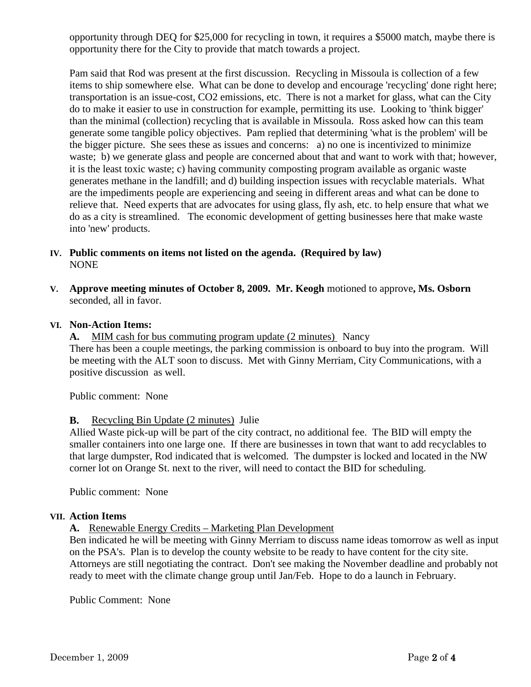opportunity through DEQ for \$25,000 for recycling in town, it requires a \$5000 match, maybe there is opportunity there for the City to provide that match towards a project.

Pam said that Rod was present at the first discussion. Recycling in Missoula is collection of a few items to ship somewhere else. What can be done to develop and encourage 'recycling' done right here; transportation is an issue-cost, CO2 emissions, etc. There is not a market for glass, what can the City do to make it easier to use in construction for example, permitting its use. Looking to 'think bigger' than the minimal (collection) recycling that is available in Missoula. Ross asked how can this team generate some tangible policy objectives. Pam replied that determining 'what is the problem' will be the bigger picture. She sees these as issues and concerns: a) no one is incentivized to minimize waste; b) we generate glass and people are concerned about that and want to work with that; however, it is the least toxic waste; c) having community composting program available as organic waste generates methane in the landfill; and d) building inspection issues with recyclable materials. What are the impediments people are experiencing and seeing in different areas and what can be done to relieve that. Need experts that are advocates for using glass, fly ash, etc. to help ensure that what we do as a city is streamlined. The economic development of getting businesses here that make waste into 'new' products.

- **IV. Public comments on items not listed on the agenda. (Required by law)** NONE
- **V. Approve meeting minutes of October 8, 2009. Mr. Keogh** motioned to approve**, Ms. Osborn**  seconded, all in favor.

### **VI. Non-Action Items:**

A. MIM cash for bus commuting program update (2 minutes) Nancy

There has been a couple meetings, the parking commission is onboard to buy into the program. Will be meeting with the ALT soon to discuss. Met with Ginny Merriam, City Communications, with a positive discussion as well.

Public comment: None

### **B.** Recycling Bin Update (2 minutes) Julie

Allied Waste pick-up will be part of the city contract, no additional fee. The BID will empty the smaller containers into one large one. If there are businesses in town that want to add recyclables to that large dumpster, Rod indicated that is welcomed. The dumpster is locked and located in the NW corner lot on Orange St. next to the river, will need to contact the BID for scheduling.

Public comment: None

### **VII. Action Items**

#### **A.** Renewable Energy Credits – Marketing Plan Development

Ben indicated he will be meeting with Ginny Merriam to discuss name ideas tomorrow as well as input on the PSA's. Plan is to develop the county website to be ready to have content for the city site. Attorneys are still negotiating the contract. Don't see making the November deadline and probably not ready to meet with the climate change group until Jan/Feb. Hope to do a launch in February.

Public Comment: None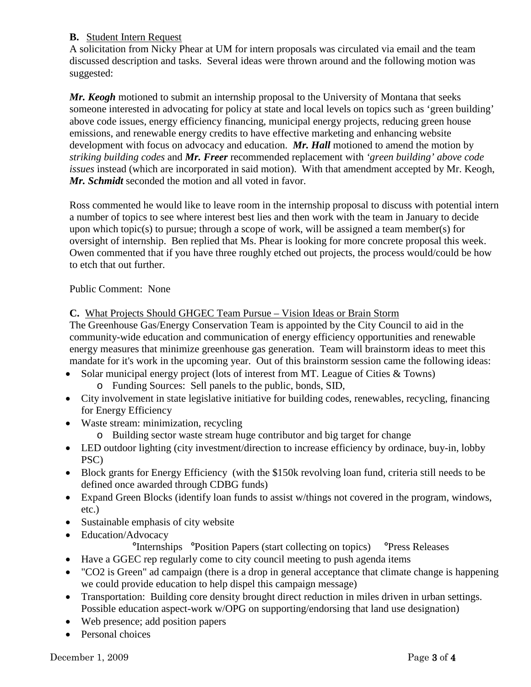# **B.** Student Intern Request

A solicitation from Nicky Phear at UM for intern proposals was circulated via email and the team discussed description and tasks. Several ideas were thrown around and the following motion was suggested:

*Mr. Keogh* motioned to submit an internship proposal to the University of Montana that seeks someone interested in advocating for policy at state and local levels on topics such as 'green building' above code issues, energy efficiency financing, municipal energy projects, reducing green house emissions, and renewable energy credits to have effective marketing and enhancing website development with focus on advocacy and education. *Mr. Hall* motioned to amend the motion by *striking building codes* and *Mr. Freer* recommended replacement with *'green building' above code issues* instead (which are incorporated in said motion). With that amendment accepted by Mr. Keogh, *Mr. Schmidt* seconded the motion and all voted in favor.

Ross commented he would like to leave room in the internship proposal to discuss with potential intern a number of topics to see where interest best lies and then work with the team in January to decide upon which topic(s) to pursue; through a scope of work, will be assigned a team member(s) for oversight of internship. Ben replied that Ms. Phear is looking for more concrete proposal this week. Owen commented that if you have three roughly etched out projects, the process would/could be how to etch that out further.

## Public Comment: None

# **C.** What Projects Should GHGEC Team Pursue – Vision Ideas or Brain Storm

The Greenhouse Gas/Energy Conservation Team is appointed by the City Council to aid in the community-wide education and communication of energy efficiency opportunities and renewable energy measures that minimize greenhouse gas generation. Team will brainstorm ideas to meet this mandate for it's work in the upcoming year. Out of this brainstorm session came the following ideas:

- Solar municipal energy project (lots of interest from MT. League of Cities & Towns)
	- o Funding Sources: Sell panels to the public, bonds, SID,
- City involvement in state legislative initiative for building codes, renewables, recycling, financing for Energy Efficiency
- Waste stream: minimization, recycling
	- o Building sector waste stream huge contributor and big target for change
- LED outdoor lighting (city investment/direction to increase efficiency by ordinace, buy-in, lobby PSC)
- Block grants for Energy Efficiency (with the \$150k revolving loan fund, criteria still needs to be defined once awarded through CDBG funds)
- Expand Green Blocks (identify loan funds to assist w/things not covered in the program, windows, etc.)
- Sustainable emphasis of city website
- Education/Advocacy

# °Internships °Position Papers (start collecting on topics) °Press Releases

- Have a GGEC rep regularly come to city council meeting to push agenda items
- "CO2 is Green" ad campaign (there is a drop in general acceptance that climate change is happening we could provide education to help dispel this campaign message)
- Transportation: Building core density brought direct reduction in miles driven in urban settings. Possible education aspect-work w/OPG on supporting/endorsing that land use designation)
- Web presence; add position papers
- Personal choices